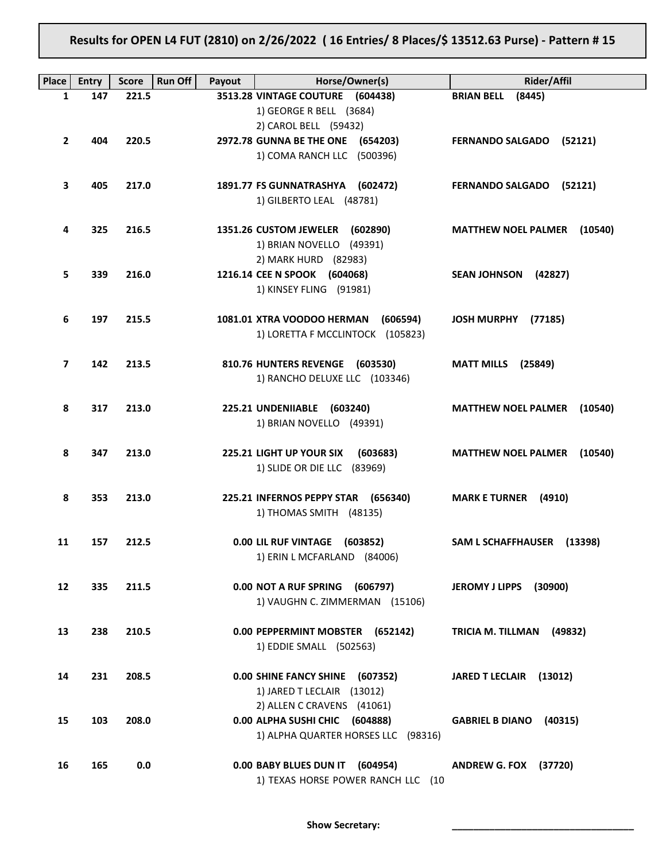# Results for OPEN L4 FUT (2810) on 2/26/2022 ( 16 Entries/ 8 Places/\$ 13512.63 Purse) - Pattern # 15

| Place          | <b>Entry</b> | <b>Score</b> | <b>Run Off</b><br>Payout | Horse/Owner(s)                         | <b>Rider/Affil</b>                    |
|----------------|--------------|--------------|--------------------------|----------------------------------------|---------------------------------------|
| 1              | 147          | 221.5        |                          | 3513.28 VINTAGE COUTURE (604438)       | <b>BRIAN BELL</b><br>(8445)           |
|                |              |              |                          | 1) GEORGE R BELL (3684)                |                                       |
|                |              |              |                          | 2) CAROL BELL (59432)                  |                                       |
| $\overline{2}$ | 404          | 220.5        |                          | 2972.78 GUNNA BE THE ONE (654203)      | FERNANDO SALGADO (52121)              |
|                |              |              |                          | 1) COMA RANCH LLC (500396)             |                                       |
|                |              |              |                          |                                        |                                       |
| 3              | 405          | 217.0        |                          | 1891.77 FS GUNNATRASHYA (602472)       | FERNANDO SALGADO (52121)              |
|                |              |              |                          | 1) GILBERTO LEAL (48781)               |                                       |
| 4              | 325          | 216.5        |                          | 1351.26 CUSTOM JEWELER (602890)        | <b>MATTHEW NOEL PALMER (10540)</b>    |
|                |              |              |                          | 1) BRIAN NOVELLO (49391)               |                                       |
|                |              |              |                          | 2) MARK HURD (82983)                   |                                       |
| 5              | 339          | 216.0        |                          | 1216.14 CEE N SPOOK (604068)           | SEAN JOHNSON (42827)                  |
|                |              |              |                          | 1) KINSEY FLING (91981)                |                                       |
|                |              |              |                          |                                        |                                       |
| 6              | 197          | 215.5        |                          | 1081.01 XTRA VOODOO HERMAN<br>(606594) | <b>JOSH MURPHY</b><br>(77185)         |
|                |              |              |                          | 1) LORETTA F MCCLINTOCK (105823)       |                                       |
|                |              |              |                          |                                        |                                       |
| 7              | 142          | 213.5        |                          | 810.76 HUNTERS REVENGE (603530)        | <b>MATT MILLS</b> (25849)             |
|                |              |              |                          | 1) RANCHO DELUXE LLC (103346)          |                                       |
| 8              | 317          | 213.0        |                          | 225.21 UNDENIIABLE (603240)            | <b>MATTHEW NOEL PALMER</b><br>(10540) |
|                |              |              |                          | 1) BRIAN NOVELLO (49391)               |                                       |
|                |              |              |                          |                                        |                                       |
| 8              | 347          | 213.0        |                          | 225.21 LIGHT UP YOUR SIX<br>(603683)   | <b>MATTHEW NOEL PALMER (10540)</b>    |
|                |              |              |                          | 1) SLIDE OR DIE LLC (83969)            |                                       |
|                |              |              |                          |                                        |                                       |
| 8              | 353          | 213.0        |                          | 225.21 INFERNOS PEPPY STAR (656340)    | <b>MARK E TURNER (4910)</b>           |
|                |              |              |                          | 1) THOMAS SMITH (48135)                |                                       |
|                |              |              |                          |                                        |                                       |
| 11             | 157          | 212.5        |                          | 0.00 LIL RUF VINTAGE (603852)          | SAM L SCHAFFHAUSER (13398)            |
|                |              |              |                          | 1) ERIN L MCFARLAND (84006)            |                                       |
| 12             | 335          | 211.5        |                          | 0.00 NOT A RUF SPRING<br>(606797)      | <b>JEROMY J LIPPS</b><br>(30900)      |
|                |              |              |                          | 1) VAUGHN C. ZIMMERMAN (15106)         |                                       |
|                |              |              |                          |                                        |                                       |
| 13             | 238          | 210.5        |                          | 0.00 PEPPERMINT MOBSTER (652142)       | TRICIA M. TILLMAN (49832)             |
|                |              |              |                          | 1) EDDIE SMALL (502563)                |                                       |
|                |              |              |                          |                                        |                                       |
| 14             | 231          | 208.5        |                          | 0.00 SHINE FANCY SHINE (607352)        | JARED T LECLAIR (13012)               |
|                |              |              |                          | 1) JARED T LECLAIR (13012)             |                                       |
|                |              |              |                          | 2) ALLEN C CRAVENS (41061)             |                                       |
| 15             | 103          | 208.0        |                          | 0.00 ALPHA SUSHI CHIC (604888)         | GABRIEL B DIANO (40315)               |
|                |              |              |                          | 1) ALPHA QUARTER HORSES LLC (98316)    |                                       |
| 16             | 165          | 0.0          |                          | 0.00 BABY BLUES DUN IT (604954)        | <b>ANDREW G. FOX (37720)</b>          |
|                |              |              |                          | 1) TEXAS HORSE POWER RANCH LLC (10     |                                       |
|                |              |              |                          |                                        |                                       |